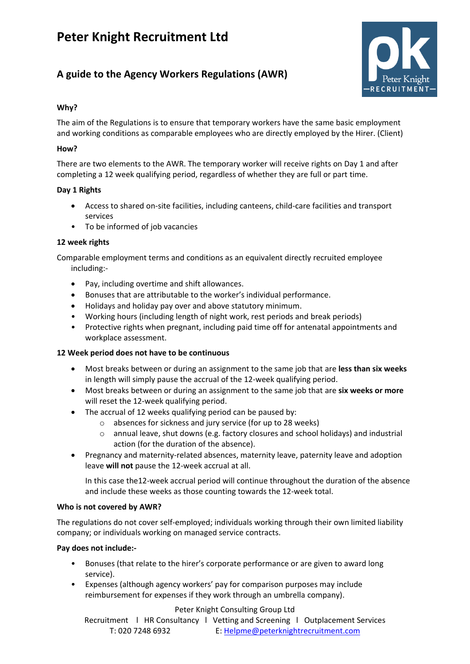# **Peter Knight Recruitment Ltd**

# **A guide to the Agency Workers Regulations (AWR)**



# **Why?**

The aim of the Regulations is to ensure that temporary workers have the same basic employment and working conditions as comparable employees who are directly employed by the Hirer. (Client)

## **How?**

There are two elements to the AWR. The temporary worker will receive rights on Day 1 and after completing a 12 week qualifying period, regardless of whether they are full or part time.

### **Day 1 Rights**

- Access to shared on-site facilities, including canteens, child-care facilities and transport services
- To be informed of job vacancies

# **12 week rights**

Comparable employment terms and conditions as an equivalent directly recruited employee including:-

- Pay, including overtime and shift allowances.
- Bonuses that are attributable to the worker's individual performance.
- Holidays and holiday pay over and above statutory minimum.
- Working hours (including length of night work, rest periods and break periods)
- Protective rights when pregnant, including paid time off for antenatal appointments and workplace assessment.

# **12 Week period does not have to be continuous**

- Most breaks between or during an assignment to the same job that are **less than six weeks**  in length will simply pause the accrual of the 12-week qualifying period.
- Most breaks between or during an assignment to the same job that are **six weeks or more**  will reset the 12-week qualifying period.
- The accrual of 12 weeks qualifying period can be paused by:
	- o absences for sickness and jury service (for up to 28 weeks)
	- o annual leave, shut downs (e.g. factory closures and school holidays) and industrial action (for the duration of the absence).
- Pregnancy and maternity-related absences, maternity leave, paternity leave and adoption leave **will not** pause the 12-week accrual at all.

In this case the12-week accrual period will continue throughout the duration of the absence and include these weeks as those counting towards the 12-week total.

#### **Who is not covered by AWR?**

The regulations do not cover self-employed; individuals working through their own limited liability company; or individuals working on managed service contracts.

# **Pay does not include:-**

- Bonuses (that relate to the hirer's corporate performance or are given to award long service).
- Expenses (although agency workers' pay for comparison purposes may include reimbursement for expenses if they work through an umbrella company).

#### Peter Knight Consulting Group Ltd

Recruitment | HR Consultancy | Vetting and Screening | Outplacement Services T: 020 7248 6932 E: [Helpme@peterknightrecruitment.com](mailto:Helpme@peterknightrecruitment.com)